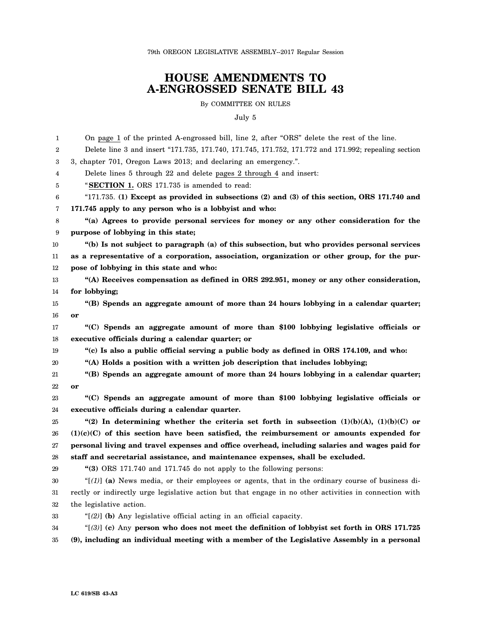79th OREGON LEGISLATIVE ASSEMBLY--2017 Regular Session

## **HOUSE AMENDMENTS TO A-ENGROSSED SENATE BILL 43**

By COMMITTEE ON RULES

July 5

| 1  | On page 1 of the printed A-engrossed bill, line 2, after "ORS" delete the rest of the line.            |
|----|--------------------------------------------------------------------------------------------------------|
| 2  | Delete line 3 and insert "171.735, 171.740, 171.745, 171.752, 171.772 and 171.992; repealing section   |
| 3  | 3, chapter 701, Oregon Laws 2013; and declaring an emergency.".                                        |
| 4  | Delete lines 5 through 22 and delete pages 2 through 4 and insert:                                     |
| 5  | "SECTION 1. ORS 171.735 is amended to read:                                                            |
| 6  | " $171.735$ . (1) Except as provided in subsections (2) and (3) of this section, ORS 171.740 and       |
| 7  | 171.745 apply to any person who is a lobbyist and who:                                                 |
| 8  | "(a) Agrees to provide personal services for money or any other consideration for the                  |
| 9  | purpose of lobbying in this state;                                                                     |
| 10 | "(b) Is not subject to paragraph (a) of this subsection, but who provides personal services            |
| 11 | as a representative of a corporation, association, organization or other group, for the pur-           |
| 12 | pose of lobbying in this state and who:                                                                |
| 13 | "(A) Receives compensation as defined in ORS 292.951, money or any other consideration,                |
| 14 | for lobbying;                                                                                          |
| 15 | "(B) Spends an aggregate amount of more than 24 hours lobbying in a calendar quarter;                  |
| 16 | or                                                                                                     |
| 17 | "(C) Spends an aggregate amount of more than \$100 lobbying legislative officials or                   |
| 18 | executive officials during a calendar quarter; or                                                      |
| 19 | "(c) Is also a public official serving a public body as defined in ORS 174.109, and who:               |
| 20 | "(A) Holds a position with a written job description that includes lobbying;                           |
| 21 | "(B) Spends an aggregate amount of more than 24 hours lobbying in a calendar quarter;                  |
| 22 | or                                                                                                     |
| 23 | "(C) Spends an aggregate amount of more than \$100 lobbying legislative officials or                   |
| 24 | executive officials during a calendar quarter.                                                         |
| 25 | "(2) In determining whether the criteria set forth in subsection $(1)(b)(A)$ , $(1)(b)(C)$ or          |
| 26 | $(1)(c)(C)$ of this section have been satisfied, the reimbursement or amounts expended for             |
| 27 | personal living and travel expenses and office overhead, including salaries and wages paid for         |
| 28 | staff and secretarial assistance, and maintenance expenses, shall be excluded.                         |
| 29 | " $(3)$ ORS 171.740 and 171.745 do not apply to the following persons:                                 |
| 30 | " $[(1)]$ (a) News media, or their employees or agents, that in the ordinary course of business di-    |
| 31 | rectly or indirectly urge legislative action but that engage in no other activities in connection with |
| 32 | the legislative action.                                                                                |
| 33 | " $(2)$ ] (b) Any legislative official acting in an official capacity.                                 |
| 34 | " $[3]$ ] (c) Any person who does not meet the definition of lobbyist set forth in ORS 171.725         |
| 35 | (9), including an individual meeting with a member of the Legislative Assembly in a personal           |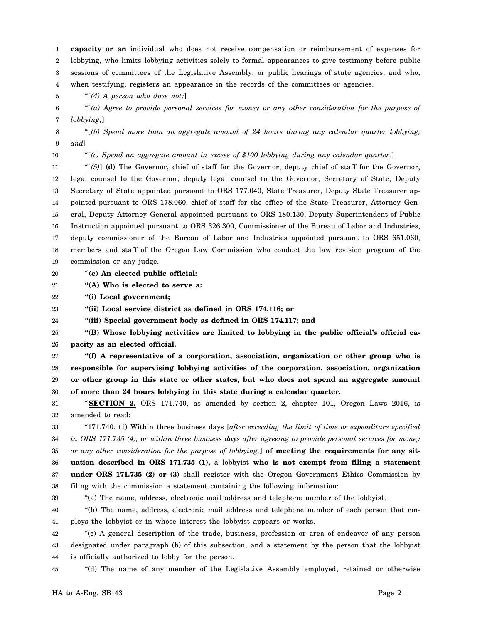1 2 3 4 **capacity or an** individual who does not receive compensation or reimbursement of expenses for lobbying, who limits lobbying activities solely to formal appearances to give testimony before public sessions of committees of the Legislative Assembly, or public hearings of state agencies, and who, when testifying, registers an appearance in the records of the committees or agencies.

5 "[*(4) A person who does not:*]

6 7 "[*(a) Agree to provide personal services for money or any other consideration for the purpose of lobbying;*]

8 9 "[*(b) Spend more than an aggregate amount of 24 hours during any calendar quarter lobbying; and*]

10

"[*(c) Spend an aggregate amount in excess of \$100 lobbying during any calendar quarter.*]

11 12 13 14 15 16 17 18 19 "[*(5)*] **(d)** The Governor, chief of staff for the Governor, deputy chief of staff for the Governor, legal counsel to the Governor, deputy legal counsel to the Governor, Secretary of State, Deputy Secretary of State appointed pursuant to ORS 177.040, State Treasurer, Deputy State Treasurer appointed pursuant to ORS 178.060, chief of staff for the office of the State Treasurer, Attorney General, Deputy Attorney General appointed pursuant to ORS 180.130, Deputy Superintendent of Public Instruction appointed pursuant to ORS 326.300, Commissioner of the Bureau of Labor and Industries, deputy commissioner of the Bureau of Labor and Industries appointed pursuant to ORS 651.060, members and staff of the Oregon Law Commission who conduct the law revision program of the commission or any judge.

- 20 "**(e) An elected public official:**
- 21 **"(A) Who is elected to serve a:**

22 **"(i) Local government;**

23 **"(ii) Local service district as defined in ORS 174.116; or**

24 **"(iii) Special government body as defined in ORS 174.117; and**

25 26 **"(B) Whose lobbying activities are limited to lobbying in the public official's official capacity as an elected official.**

27 28 29 30 **"(f) A representative of a corporation, association, organization or other group who is responsible for supervising lobbying activities of the corporation, association, organization or other group in this state or other states, but who does not spend an aggregate amount of more than 24 hours lobbying in this state during a calendar quarter.**

31 32 "**SECTION 2.** ORS 171.740, as amended by section 2, chapter 101, Oregon Laws 2016, is amended to read:

33 34 35 36 37 38 "171.740. (1) Within three business days [*after exceeding the limit of time or expenditure specified in ORS 171.735 (4), or within three business days after agreeing to provide personal services for money or any other consideration for the purpose of lobbying,*] **of meeting the requirements for any situation described in ORS 171.735 (1),** a lobbyist **who is not exempt from filing a statement under ORS 171.735 (2) or (3)** shall register with the Oregon Government Ethics Commission by filing with the commission a statement containing the following information:

39

"(a) The name, address, electronic mail address and telephone number of the lobbyist.

40 41 "(b) The name, address, electronic mail address and telephone number of each person that employs the lobbyist or in whose interest the lobbyist appears or works.

42 43 44 "(c) A general description of the trade, business, profession or area of endeavor of any person designated under paragraph (b) of this subsection, and a statement by the person that the lobbyist is officially authorized to lobby for the person.

45 "(d) The name of any member of the Legislative Assembly employed, retained or otherwise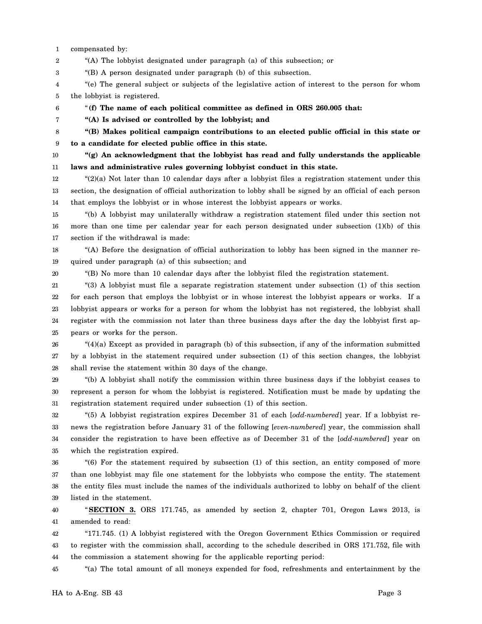1 compensated by:

2 "(A) The lobbyist designated under paragraph (a) of this subsection; or

3 "(B) A person designated under paragraph (b) of this subsection.

4 5 "(e) The general subject or subjects of the legislative action of interest to the person for whom the lobbyist is registered.

"**(f) The name of each political committee as defined in ORS 260.005 that:**

**"(A) Is advised or controlled by the lobbyist; and**

8 **"(B) Makes political campaign contributions to an elected public official in this state or**

6 7

9 **to a candidate for elected public office in this state.**

10 11 **"(g) An acknowledgment that the lobbyist has read and fully understands the applicable laws and administrative rules governing lobbyist conduct in this state.**

12 13 14 " $(2)(a)$  Not later than 10 calendar days after a lobbyist files a registration statement under this section, the designation of official authorization to lobby shall be signed by an official of each person that employs the lobbyist or in whose interest the lobbyist appears or works.

15 16 17 "(b) A lobbyist may unilaterally withdraw a registration statement filed under this section not more than one time per calendar year for each person designated under subsection (1)(b) of this section if the withdrawal is made:

18 19 "(A) Before the designation of official authorization to lobby has been signed in the manner required under paragraph (a) of this subsection; and

20

"(B) No more than 10 calendar days after the lobbyist filed the registration statement.

21 22 23 24 25 "(3) A lobbyist must file a separate registration statement under subsection (1) of this section for each person that employs the lobbyist or in whose interest the lobbyist appears or works. If a lobbyist appears or works for a person for whom the lobbyist has not registered, the lobbyist shall register with the commission not later than three business days after the day the lobbyist first appears or works for the person.

26 27 28 " $(4)(a)$  Except as provided in paragraph (b) of this subsection, if any of the information submitted by a lobbyist in the statement required under subsection (1) of this section changes, the lobbyist shall revise the statement within 30 days of the change.

29 30 31 "(b) A lobbyist shall notify the commission within three business days if the lobbyist ceases to represent a person for whom the lobbyist is registered. Notification must be made by updating the registration statement required under subsection (1) of this section.

32 33 34 35 "(5) A lobbyist registration expires December 31 of each [*odd-numbered*] year. If a lobbyist renews the registration before January 31 of the following [*even-numbered*] year, the commission shall consider the registration to have been effective as of December 31 of the [*odd-numbered*] year on which the registration expired.

36 37 38 39 "(6) For the statement required by subsection (1) of this section, an entity composed of more than one lobbyist may file one statement for the lobbyists who compose the entity. The statement the entity files must include the names of the individuals authorized to lobby on behalf of the client listed in the statement.

40 41 "**SECTION 3.** ORS 171.745, as amended by section 2, chapter 701, Oregon Laws 2013, is amended to read:

42 43 44 "171.745. (1) A lobbyist registered with the Oregon Government Ethics Commission or required to register with the commission shall, according to the schedule described in ORS 171.752, file with the commission a statement showing for the applicable reporting period:

45 "(a) The total amount of all moneys expended for food, refreshments and entertainment by the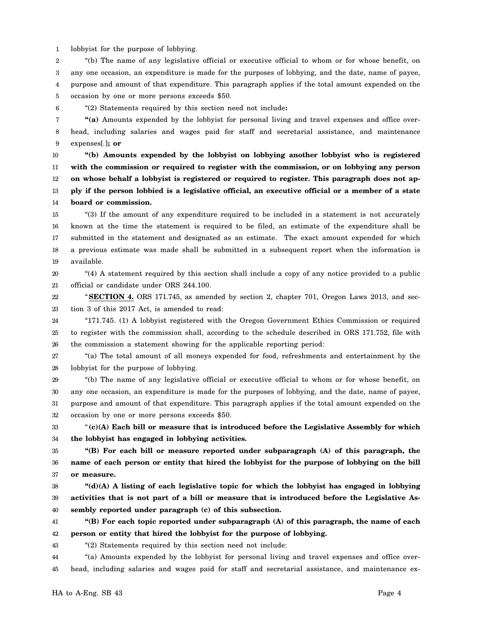1 lobbyist for the purpose of lobbying.

2 3 4 5 "(b) The name of any legislative official or executive official to whom or for whose benefit, on any one occasion, an expenditure is made for the purposes of lobbying, and the date, name of payee, purpose and amount of that expenditure. This paragraph applies if the total amount expended on the occasion by one or more persons exceeds \$50.

6 "(2) Statements required by this section need not include**:**

7 8 9 **"(a)** Amounts expended by the lobbyist for personal living and travel expenses and office overhead, including salaries and wages paid for staff and secretarial assistance, and maintenance expenses[*.*]**; or**

10 11 12 13 14 **"(b) Amounts expended by the lobbyist on lobbying another lobbyist who is registered with the commission or required to register with the commission, or on lobbying any person on whose behalf a lobbyist is registered or required to register. This paragraph does not apply if the person lobbied is a legislative official, an executive official or a member of a state board or commission.**

15 16 17 18 19 "(3) If the amount of any expenditure required to be included in a statement is not accurately known at the time the statement is required to be filed, an estimate of the expenditure shall be submitted in the statement and designated as an estimate. The exact amount expended for which a previous estimate was made shall be submitted in a subsequent report when the information is available.

20 21 "(4) A statement required by this section shall include a copy of any notice provided to a public official or candidate under ORS 244.100.

22 23 "**SECTION 4.** ORS 171.745, as amended by section 2, chapter 701, Oregon Laws 2013, and section 3 of this 2017 Act, is amended to read:

24 25 26 "171.745. (1) A lobbyist registered with the Oregon Government Ethics Commission or required to register with the commission shall, according to the schedule described in ORS 171.752, file with the commission a statement showing for the applicable reporting period:

27 28 "(a) The total amount of all moneys expended for food, refreshments and entertainment by the lobbyist for the purpose of lobbying.

29 30 31 32 "(b) The name of any legislative official or executive official to whom or for whose benefit, on any one occasion, an expenditure is made for the purposes of lobbying, and the date, name of payee, purpose and amount of that expenditure. This paragraph applies if the total amount expended on the occasion by one or more persons exceeds \$50.

33 34 "**(c)(A) Each bill or measure that is introduced before the Legislative Assembly for which the lobbyist has engaged in lobbying activities.**

35 36 37 **"(B) For each bill or measure reported under subparagraph (A) of this paragraph, the name of each person or entity that hired the lobbyist for the purpose of lobbying on the bill or measure.**

38 39 40 **"(d)(A) A listing of each legislative topic for which the lobbyist has engaged in lobbying activities that is not part of a bill or measure that is introduced before the Legislative Assembly reported under paragraph (c) of this subsection.**

41 42 **"(B) For each topic reported under subparagraph (A) of this paragraph, the name of each person or entity that hired the lobbyist for the purpose of lobbying.**

43

"(2) Statements required by this section need not include:

44 45 "(a) Amounts expended by the lobbyist for personal living and travel expenses and office overhead, including salaries and wages paid for staff and secretarial assistance, and maintenance ex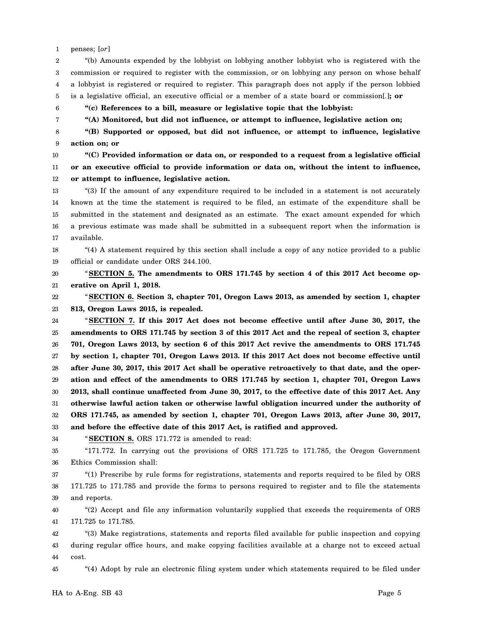1 penses; [*or*]

6 7

2 3 4 5 "(b) Amounts expended by the lobbyist on lobbying another lobbyist who is registered with the commission or required to register with the commission, or on lobbying any person on whose behalf a lobbyist is registered or required to register. This paragraph does not apply if the person lobbied is a legislative official, an executive official or a member of a state board or commission[*.*]**; or**

**"(c) References to a bill, measure or legislative topic that the lobbyist:**

**"(A) Monitored, but did not influence, or attempt to influence, legislative action on;**

8 9 **"(B) Supported or opposed, but did not influence, or attempt to influence, legislative action on; or**

10 11 12 **"(C) Provided information or data on, or responded to a request from a legislative official or an executive official to provide information or data on, without the intent to influence, or attempt to influence, legislative action.**

13 14 15 16 17 "(3) If the amount of any expenditure required to be included in a statement is not accurately known at the time the statement is required to be filed, an estimate of the expenditure shall be submitted in the statement and designated as an estimate. The exact amount expended for which a previous estimate was made shall be submitted in a subsequent report when the information is available.

18 19 "(4) A statement required by this section shall include a copy of any notice provided to a public official or candidate under ORS 244.100.

20 21 "**SECTION 5. The amendments to ORS 171.745 by section 4 of this 2017 Act become operative on April 1, 2018.**

22 23 "**SECTION 6. Section 3, chapter 701, Oregon Laws 2013, as amended by section 1, chapter 813, Oregon Laws 2015, is repealed.**

24 25 26 27 28 29 30 31 32 33 "**SECTION 7. If this 2017 Act does not become effective until after June 30, 2017, the amendments to ORS 171.745 by section 3 of this 2017 Act and the repeal of section 3, chapter 701, Oregon Laws 2013, by section 6 of this 2017 Act revive the amendments to ORS 171.745 by section 1, chapter 701, Oregon Laws 2013. If this 2017 Act does not become effective until after June 30, 2017, this 2017 Act shall be operative retroactively to that date, and the operation and effect of the amendments to ORS 171.745 by section 1, chapter 701, Oregon Laws 2013, shall continue unaffected from June 30, 2017, to the effective date of this 2017 Act. Any otherwise lawful action taken or otherwise lawful obligation incurred under the authority of ORS 171.745, as amended by section 1, chapter 701, Oregon Laws 2013, after June 30, 2017, and before the effective date of this 2017 Act, is ratified and approved.**

"**SECTION 8.** ORS 171.772 is amended to read:

35 36 "171.772. In carrying out the provisions of ORS 171.725 to 171.785, the Oregon Government Ethics Commission shall:

37 38 39 "(1) Prescribe by rule forms for registrations, statements and reports required to be filed by ORS 171.725 to 171.785 and provide the forms to persons required to register and to file the statements and reports.

40 41 "(2) Accept and file any information voluntarily supplied that exceeds the requirements of ORS 171.725 to 171.785.

42 43 44 "(3) Make registrations, statements and reports filed available for public inspection and copying during regular office hours, and make copying facilities available at a charge not to exceed actual cost.

45 "(4) Adopt by rule an electronic filing system under which statements required to be filed under

34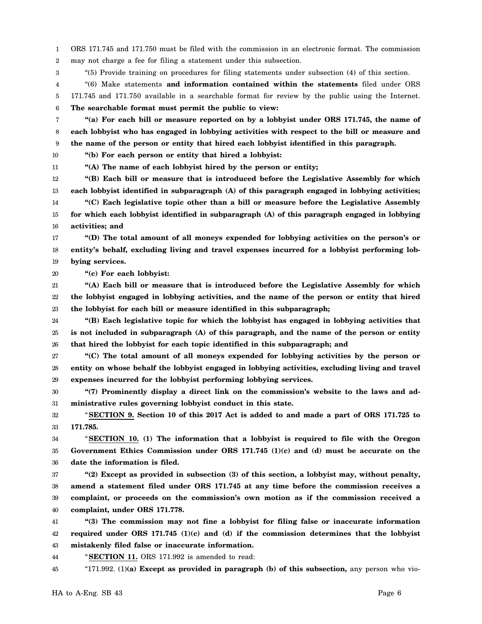1 2 ORS 171.745 and 171.750 must be filed with the commission in an electronic format. The commission may not charge a fee for filing a statement under this subsection.

3 "(5) Provide training on procedures for filing statements under subsection (4) of this section.

4 5 6 "(6) Make statements **and information contained within the statements** filed under ORS 171.745 and 171.750 available in a searchable format for review by the public using the Internet. **The searchable format must permit the public to view:**

7 8 9 **"(a) For each bill or measure reported on by a lobbyist under ORS 171.745, the name of each lobbyist who has engaged in lobbying activities with respect to the bill or measure and the name of the person or entity that hired each lobbyist identified in this paragraph.**

**"(b) For each person or entity that hired a lobbyist:**

10 11

**"(A) The name of each lobbyist hired by the person or entity;**

12 13 14 15 16 **"(B) Each bill or measure that is introduced before the Legislative Assembly for which each lobbyist identified in subparagraph (A) of this paragraph engaged in lobbying activities; "(C) Each legislative topic other than a bill or measure before the Legislative Assembly for which each lobbyist identified in subparagraph (A) of this paragraph engaged in lobbying activities; and**

17 18 19 **"(D) The total amount of all moneys expended for lobbying activities on the person's or entity's behalf, excluding living and travel expenses incurred for a lobbyist performing lobbying services.**

20 **"(c) For each lobbyist:**

21 22 23 **"(A) Each bill or measure that is introduced before the Legislative Assembly for which the lobbyist engaged in lobbying activities, and the name of the person or entity that hired the lobbyist for each bill or measure identified in this subparagraph;**

24 25 26 **"(B) Each legislative topic for which the lobbyist has engaged in lobbying activities that is not included in subparagraph (A) of this paragraph, and the name of the person or entity that hired the lobbyist for each topic identified in this subparagraph; and**

27 28 29 **"(C) The total amount of all moneys expended for lobbying activities by the person or entity on whose behalf the lobbyist engaged in lobbying activities, excluding living and travel expenses incurred for the lobbyist performing lobbying services.**

30 31 **"(7) Prominently display a direct link on the commission's website to the laws and administrative rules governing lobbyist conduct in this state.**

32 33 "**SECTION 9. Section 10 of this 2017 Act is added to and made a part of ORS 171.725 to 171.785.**

34 35 36 "**SECTION 10. (1) The information that a lobbyist is required to file with the Oregon Government Ethics Commission under ORS 171.745 (1)(c) and (d) must be accurate on the date the information is filed.**

37 38 39 40 **"(2) Except as provided in subsection (3) of this section, a lobbyist may, without penalty, amend a statement filed under ORS 171.745 at any time before the commission receives a complaint, or proceeds on the commission's own motion as if the commission received a complaint, under ORS 171.778.**

41 42 43 **"(3) The commission may not fine a lobbyist for filing false or inaccurate information required under ORS 171.745 (1)(c) and (d) if the commission determines that the lobbyist mistakenly filed false or inaccurate information.**

44 "**SECTION 11.** ORS 171.992 is amended to read:

45 "171.992. (1)**(a) Except as provided in paragraph (b) of this subsection,** any person who vio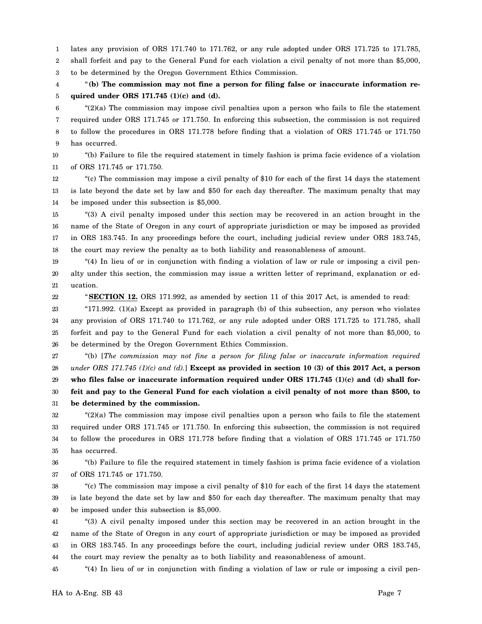1 lates any provision of ORS 171.740 to 171.762, or any rule adopted under ORS 171.725 to 171.785,

2 3 shall forfeit and pay to the General Fund for each violation a civil penalty of not more than \$5,000, to be determined by the Oregon Government Ethics Commission.

4 5 "**(b) The commission may not fine a person for filing false or inaccurate information required under ORS 171.745 (1)(c) and (d).**

6 7 8 9 "(2)(a) The commission may impose civil penalties upon a person who fails to file the statement required under ORS 171.745 or 171.750. In enforcing this subsection, the commission is not required to follow the procedures in ORS 171.778 before finding that a violation of ORS 171.745 or 171.750 has occurred.

10 11 "(b) Failure to file the required statement in timely fashion is prima facie evidence of a violation of ORS 171.745 or 171.750.

12 13 14 "(c) The commission may impose a civil penalty of \$10 for each of the first 14 days the statement is late beyond the date set by law and \$50 for each day thereafter. The maximum penalty that may be imposed under this subsection is \$5,000.

15 16 17 18 "(3) A civil penalty imposed under this section may be recovered in an action brought in the name of the State of Oregon in any court of appropriate jurisdiction or may be imposed as provided in ORS 183.745. In any proceedings before the court, including judicial review under ORS 183.745, the court may review the penalty as to both liability and reasonableness of amount.

19 20 21 "(4) In lieu of or in conjunction with finding a violation of law or rule or imposing a civil penalty under this section, the commission may issue a written letter of reprimand, explanation or education.

"**SECTION 12.** ORS 171.992, as amended by section 11 of this 2017 Act, is amended to read:

23 24 25 26 "171.992. (1)(a) Except as provided in paragraph (b) of this subsection, any person who violates any provision of ORS 171.740 to 171.762, or any rule adopted under ORS 171.725 to 171.785, shall forfeit and pay to the General Fund for each violation a civil penalty of not more than \$5,000, to be determined by the Oregon Government Ethics Commission.

27 28 29 30 31 "(b) [*The commission may not fine a person for filing false or inaccurate information required under ORS 171.745 (1)(c) and (d).*] **Except as provided in section 10 (3) of this 2017 Act, a person who files false or inaccurate information required under ORS 171.745 (1)(c) and (d) shall forfeit and pay to the General Fund for each violation a civil penalty of not more than \$500, to be determined by the commission.**

32 33 34 35 "(2)(a) The commission may impose civil penalties upon a person who fails to file the statement required under ORS 171.745 or 171.750. In enforcing this subsection, the commission is not required to follow the procedures in ORS 171.778 before finding that a violation of ORS 171.745 or 171.750 has occurred.

36 37 "(b) Failure to file the required statement in timely fashion is prima facie evidence of a violation of ORS 171.745 or 171.750.

38 39 40 "(c) The commission may impose a civil penalty of \$10 for each of the first 14 days the statement is late beyond the date set by law and \$50 for each day thereafter. The maximum penalty that may be imposed under this subsection is \$5,000.

41 42 43 44 "(3) A civil penalty imposed under this section may be recovered in an action brought in the name of the State of Oregon in any court of appropriate jurisdiction or may be imposed as provided in ORS 183.745. In any proceedings before the court, including judicial review under ORS 183.745, the court may review the penalty as to both liability and reasonableness of amount.

45 "(4) In lieu of or in conjunction with finding a violation of law or rule or imposing a civil pen-

22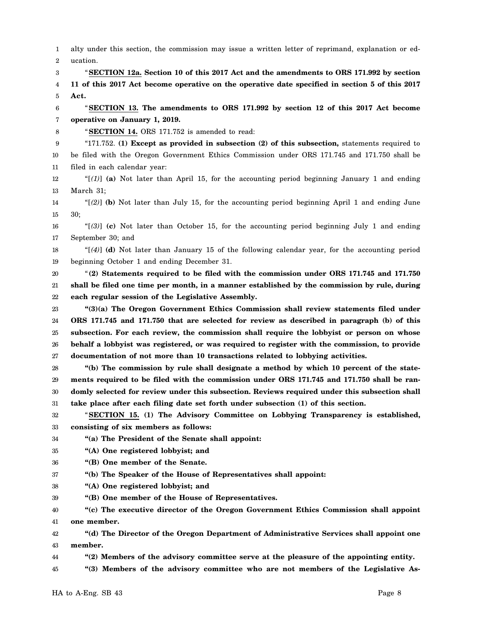1 2 3 4 5 6 7 8 9 10 11 12 13 14 15 16 17 18 19 20 21 22 23 24 25 26 27 28 29 30 31 32 33 34 35 36 37 38 39 40 41 42 43 44 45 alty under this section, the commission may issue a written letter of reprimand, explanation or education. "**SECTION 12a. Section 10 of this 2017 Act and the amendments to ORS 171.992 by section 11 of this 2017 Act become operative on the operative date specified in section 5 of this 2017 Act.** "**SECTION 13. The amendments to ORS 171.992 by section 12 of this 2017 Act become operative on January 1, 2019.** "**SECTION 14.** ORS 171.752 is amended to read: "171.752. **(1) Except as provided in subsection (2) of this subsection,** statements required to be filed with the Oregon Government Ethics Commission under ORS 171.745 and 171.750 shall be filed in each calendar year: " $[1]$  (a) Not later than April 15, for the accounting period beginning January 1 and ending March 31; "[*(2)*] **(b)** Not later than July 15, for the accounting period beginning April 1 and ending June 30; "[*(3)*] **(c)** Not later than October 15, for the accounting period beginning July 1 and ending September 30; and "[*(4)*] **(d)** Not later than January 15 of the following calendar year, for the accounting period beginning October 1 and ending December 31. "**(2) Statements required to be filed with the commission under ORS 171.745 and 171.750 shall be filed one time per month, in a manner established by the commission by rule, during each regular session of the Legislative Assembly. "(3)(a) The Oregon Government Ethics Commission shall review statements filed under ORS 171.745 and 171.750 that are selected for review as described in paragraph (b) of this subsection. For each review, the commission shall require the lobbyist or person on whose behalf a lobbyist was registered, or was required to register with the commission, to provide documentation of not more than 10 transactions related to lobbying activities. "(b) The commission by rule shall designate a method by which 10 percent of the statements required to be filed with the commission under ORS 171.745 and 171.750 shall be randomly selected for review under this subsection. Reviews required under this subsection shall take place after each filing date set forth under subsection (1) of this section.** "**SECTION 15. (1) The Advisory Committee on Lobbying Transparency is established, consisting of six members as follows: "(a) The President of the Senate shall appoint: "(A) One registered lobbyist; and "(B) One member of the Senate. "(b) The Speaker of the House of Representatives shall appoint: "(A) One registered lobbyist; and "(B) One member of the House of Representatives. "(c) The executive director of the Oregon Government Ethics Commission shall appoint one member. "(d) The Director of the Oregon Department of Administrative Services shall appoint one member. "(2) Members of the advisory committee serve at the pleasure of the appointing entity. "(3) Members of the advisory committee who are not members of the Legislative As-**